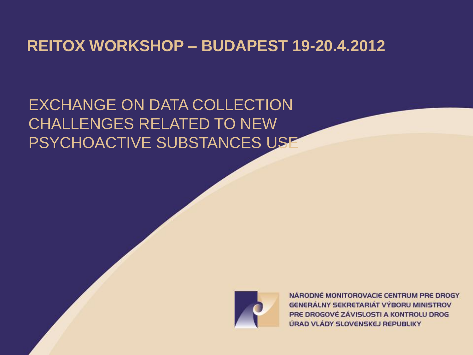## **REITOX WORKSHOP – BUDAPEST 19-20.4.2012**

EXCHANGE ON DATA COLLECTION CHALLENGES RELATED TO NEW PSYCHOACTIVE SUBSTANCES USE



NÁRODNÉ MONITOROVACIE CENTRUM PRE DROGY **GENERÁLNY SEKRETARIÁT VÝBORU MINISTROV** PRE DROGOVÉ ZÁVISLOSTI A KONTROLU DROG ÚRAD VLÁDY SLOVENSKEJ REPUBLIKY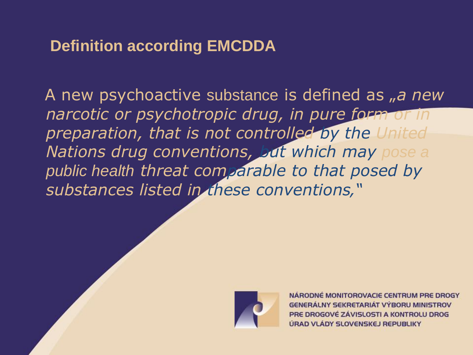# **Definition according EMCDDA**

A new psychoactive substance is defined as  $\mu$ a new *narcotic or psychotropic drug, in pure form or in preparation, that is not controlled by the United Nations drug conventions, but which may pose a public health threat comparable to that posed by substances listed in these conventions'"*



NARODNÉ MONITOROVACIE CENTRUM PRE DROGY **GENERÁLNY SEKRETARIÁT VÝBORU MINISTROV** PRE DROGOVÉ ZÁVISLOSTI A KONTROLU DROG ÚRAD VLÁDY SLOVENSKEJ REPUBLIKY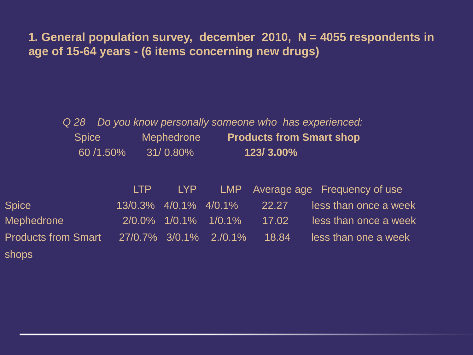**1. General population survey, december 2010, N = 4055 respondents in age of 15-64 years - (6 items concerning new drugs)** 

|              |          | Q 28 Do you know personally someone who has experienced: |           |                                 |
|--------------|----------|----------------------------------------------------------|-----------|---------------------------------|
| <b>Spice</b> |          | <b>Mephedrone</b>                                        |           | <b>Products from Smart shop</b> |
|              | 60/1.50% | $31/0.80\%$                                              | 123/3.00% |                                 |

|                            | LTP and the set of the set of the set of the set of the set of the set of the set of the set of the set of the set of the set of the set of the set of the set of the set of the set of the set of the set of the set of the s |                             |       | LYP LMP Average age Frequency of use |
|----------------------------|--------------------------------------------------------------------------------------------------------------------------------------------------------------------------------------------------------------------------------|-----------------------------|-------|--------------------------------------|
| <b>Spice</b>               |                                                                                                                                                                                                                                | 13/0.3% 4/0.1% 4/0.1% 22.27 |       | less than once a week                |
| Mephedrone                 |                                                                                                                                                                                                                                | 2/0.0% 1/0.1% 1/0.1%        | 17.02 | less than once a week                |
| <b>Products from Smart</b> | 27/0.7% 3/0.1% 2./0.1%                                                                                                                                                                                                         |                             | 18.84 | less than one a week                 |
| shops                      |                                                                                                                                                                                                                                |                             |       |                                      |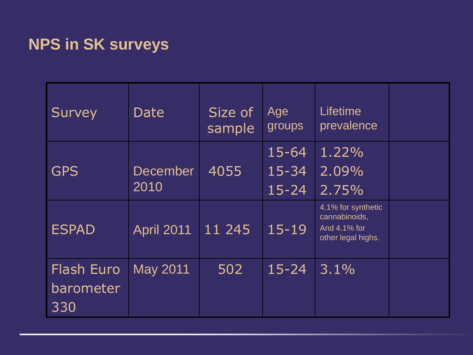# **NPS in SK surveys**

| <b>Survey</b>                         | Date              | Size of<br>sample | Age<br>groups                       | Lifetime<br>prevalence                                                    |  |
|---------------------------------------|-------------------|-------------------|-------------------------------------|---------------------------------------------------------------------------|--|
| <b>GPS</b>                            | December<br>2010  | 4055              | $15 - 64$<br>$15 - 34$<br>$15 - 24$ | 1.22%<br>2.09%<br>2.75%                                                   |  |
| <b>ESPAD</b>                          | <b>April 2011</b> | 11 245            | $15 - 19$                           | 4.1% for synthetic<br>cannabinoids,<br>And 4.1% for<br>other legal highs. |  |
| <b>Flash Euro</b><br>barometer<br>330 | May 2011          | 502               | $15 - 24$                           | 3.1%                                                                      |  |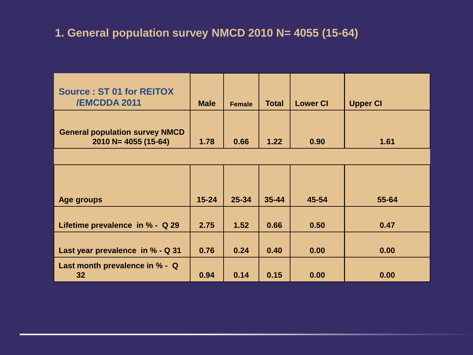#### **1. General population survey NMCD 2010 N= 4055 (15-64)**

| <b>Source: ST 01 for REITOX</b><br><b>/EMCDDA 2011</b>           | <b>Male</b> | <b>Female</b> | <b>Total</b> | <b>Lower CI</b> | <b>Upper CI</b> |
|------------------------------------------------------------------|-------------|---------------|--------------|-----------------|-----------------|
| <b>General population survey NMCD</b><br>$2010 N = 4055 (15-64)$ | 1.78        | 0.66          | 1.22         | 0.90            | 1.61            |
|                                                                  |             |               |              |                 |                 |
|                                                                  |             |               |              |                 |                 |
|                                                                  |             |               |              |                 |                 |
| Age groups                                                       | $15 - 24$   | $25 - 34$     | $35 - 44$    | 45-54           | 55-64           |
|                                                                  |             |               |              |                 |                 |
| Lifetime prevalence in % - Q 29                                  | 2.75        | 1.52          | 0.66         | 0.50            | 0.47            |
|                                                                  |             |               |              |                 |                 |
| Last year prevalence in % - Q 31                                 | 0.76        | 0.24          | 0.40         | 0.00            | 0.00            |
| Last month prevalence in % - Q<br>32                             | 0.94        | 0.14          | 0.15         | 0.00            | 0.00            |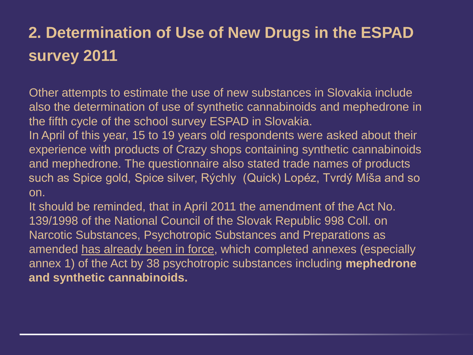# **2. Determination of Use of New Drugs in the ESPAD survey 2011**

Other attempts to estimate the use of new substances in Slovakia include also the determination of use of synthetic cannabinoids and mephedrone in the fifth cycle of the school survey ESPAD in Slovakia.

In April of this year, 15 to 19 years old respondents were asked about their experience with products of Crazy shops containing synthetic cannabinoids and mephedrone. The questionnaire also stated trade names of products such as Spice gold, Spice silver, Rýchly (Quick) Lopéz, Tvrdý Míša and so on.

It should be reminded, that in April 2011 the amendment of the Act No. 139/1998 of the National Council of the Slovak Republic 998 Coll. on Narcotic Substances, Psychotropic Substances and Preparations as amended has already been in force, which completed annexes (especially annex 1) of the Act by 38 psychotropic substances including **mephedrone and synthetic cannabinoids.**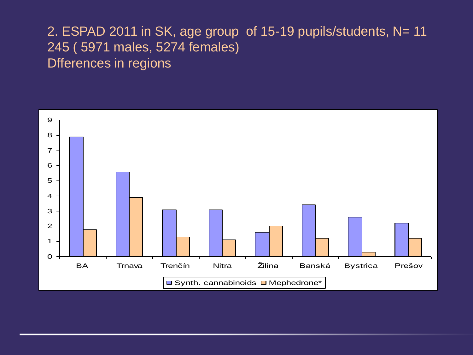### 2. ESPAD 2011 in SK, age group of 15-19 pupils/students, N= 11 245 ( 5971 males, 5274 females) Dfferences in regions

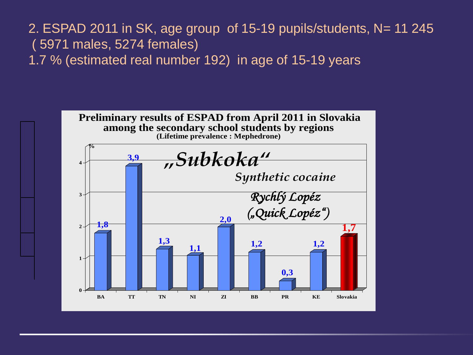2. ESPAD 2011 in SK, age group of 15-19 pupils/students, N= 11 245 ( 5971 males, 5274 females) 1.7 % (estimated real number 192) in age of 15-19 years

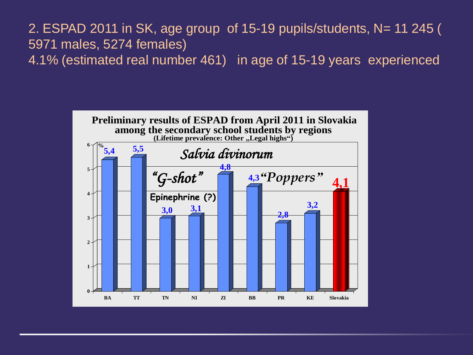#### 2. ESPAD 2011 in SK, age group of 15-19 pupils/students, N= 11 245 ( 5971 males, 5274 females) 4.1% (estimated real number 461) in age of 15-19 years experienced

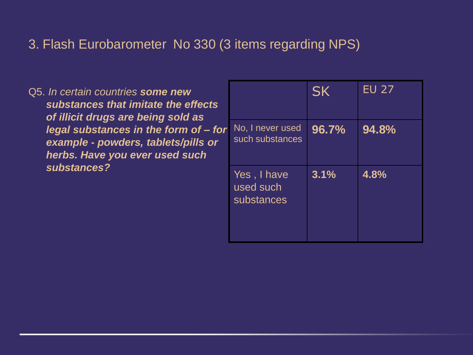#### 3. Flash Eurobarometer No 330 (3 items regarding NPS)

Q5. *In certain countries some new substances that imitate the effects of illicit drugs are being sold as legal substances in the form of – for example - powders, tablets/pills or herbs. Have you ever used such substances?* 

|                                        | <b>SK</b> | <b>EU 27</b> |
|----------------------------------------|-----------|--------------|
| No, I never used<br>such substances    | 96.7%     | 94.8%        |
| Yes, I have<br>used such<br>substances | 3.1%      | 4.8%         |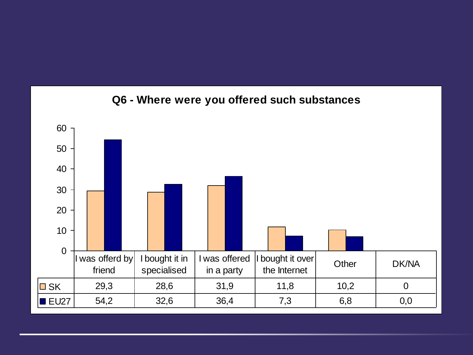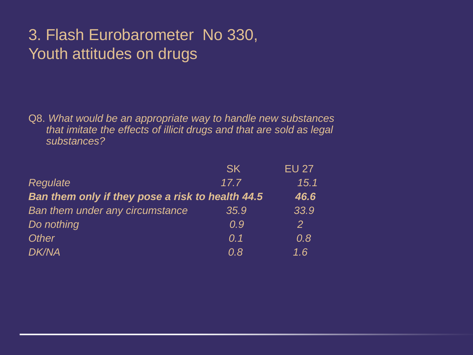# 3. Flash Eurobarometer No 330, Youth attitudes on drugs

Q8. *What would be an appropriate way to handle new substances that imitate the effects of illicit drugs and that are sold as legal substances?* 

| <b>SK</b>                                        | <b>EU 27</b>     |
|--------------------------------------------------|------------------|
| 17.7                                             | 15.1             |
| Ban them only if they pose a risk to health 44.5 | 46.6             |
| 35.9                                             | 33.9             |
| 0.9                                              | 2                |
| 0.1                                              | 0.8              |
| 0.8                                              | $\overline{1.6}$ |
|                                                  |                  |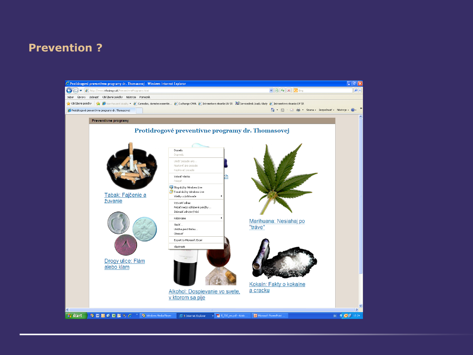#### **Prevention ?**